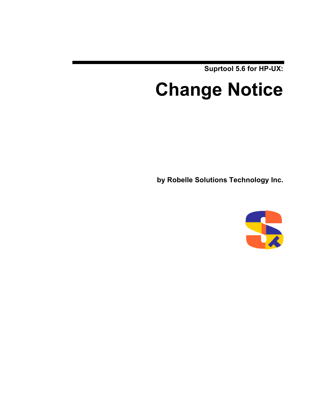**Suprtool 5.6 for HP-UX:**

# **Change Notice**

**by Robelle Solutions Technology Inc.**

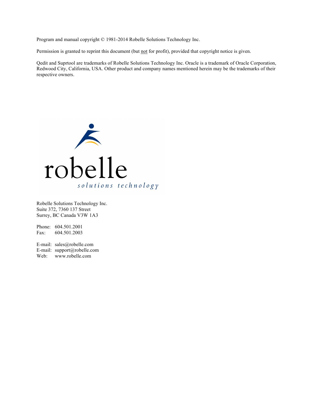Program and manual copyright © 1981-2014 Robelle Solutions Technology Inc.

Permission is granted to reprint this document (but not for profit), provided that copyright notice is given.

Qedit and Suprtool are trademarks of Robelle Solutions Technology Inc. Oracle is a trademark of Oracle Corporation, Redwood City, California, USA. Other product and company names mentioned herein may be the trademarks of their respective owners.



Robelle Solutions Technology Inc. Suite 372, 7360 137 Street Surrey, BC Canada V3W 1A3

Phone: 604.501.2001 Fax: 604.501.2003

E-mail: sales@robelle.com E-mail: support@robelle.com Web: www.robelle.com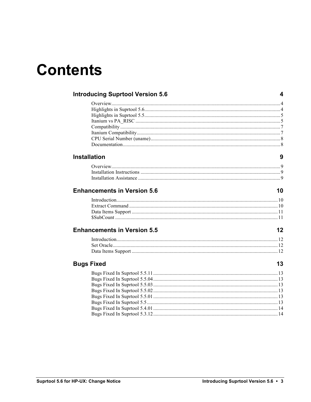## **Contents**

| <b>Introducing Suprtool Version 5.6</b> | 4  |
|-----------------------------------------|----|
|                                         |    |
|                                         |    |
|                                         |    |
|                                         |    |
|                                         |    |
|                                         |    |
|                                         |    |
|                                         |    |
| <b>Installation</b>                     |    |
|                                         |    |
|                                         |    |
|                                         |    |
| <b>Enhancements in Version 5.6</b>      | 10 |
|                                         |    |
|                                         |    |
|                                         |    |
|                                         |    |
| <b>Enhancements in Version 5.5</b>      | 12 |
|                                         |    |
|                                         |    |
|                                         |    |
| <b>Bugs Fixed</b>                       | 13 |
|                                         |    |
|                                         |    |
|                                         |    |
|                                         |    |
|                                         |    |
|                                         |    |
|                                         |    |
|                                         |    |
|                                         |    |
|                                         |    |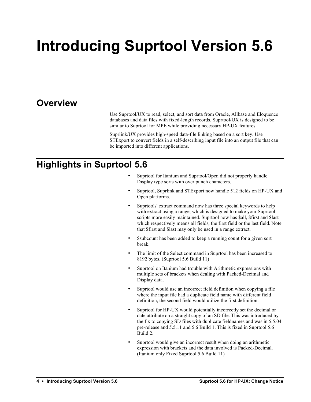# **Introducing Suprtool Version 5.6**

### **Overview**

Use Suprtool/UX to read, select, and sort data from Oracle, Allbase and Eloquence databases and data files with fixed-length records. Suprtool/UX is designed to be similar to Suprtool for MPE while providing necessary HP-UX features.

Suprlink/UX provides high-speed data-file linking based on a sort key. Use STExport to convert fields in a self-describing input file into an output file that can be imported into different applications.

## **Highlights in Suprtool 5.6**

- Suprtool for Itanium and Suprtool/Open did not properly handle Display type sorts with over punch characters.
- Suprtool, Suprlink and STExport now handle 512 fields on HP-UX and Open platforms.
- Suprtools' extract command now has three special keywords to help with extract using a range, which is designed to make your Suprtool scripts more easily maintained. Suprtool now has \$all, \$first and \$last which respectively means all fields, the first field or the last field. Note that \$first and \$last may only be used in a range extract.
- \$subcount has been added to keep a running count for a given sort break.
- The limit of the Select command in Suprtool has been increased to 8192 bytes. (Suprtool 5.6 Build 11)
- Suprtool on Itanium had trouble with Arithmetic expressions with multiple sets of brackets when dealing with Packed-Decimal and Display data.
- Suprtool would use an incorrect field definition when copying a file where the input file had a duplicate field name with different field definition, the second field would utilize the first definition.
- Suprtool for HP-UX would potentially incorrectly set the decimal or date attribute on a straight copy of an SD file. This was introduced by the fix to copying SD files with duplicate fieldnames and was in 5.5.04 pre-release and 5.5.11 and 5.6 Build 1. This is fixed in Suprtool 5.6 Build 2.
- Suprtool would give an incorrect result when doing an arithmetic expression with brackets and the data involved is Packed-Decimal. (Itanium only Fixed Suprtool 5.6 Build 11)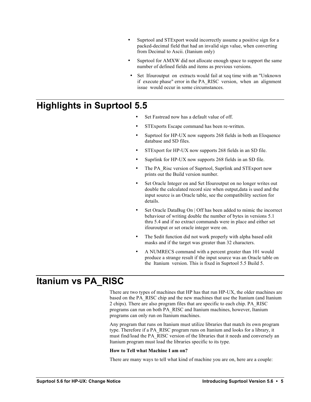- Suprtool and STExport would incorrectly assume a positive sign for a packed-decimal field that had an invalid sign value, when converting from Decimal to Ascii. (Itanium only)
- Suprtool for AMXW did not allocate enough space to support the same number of defined fields and items as previous versions.
- Set Ifouroutput on extracts would fail at xeq time with an "Unknown" if execute phase" error in the PA\_RISC version, when an alignment issue would occur in some circumstances.

### **Highlights in Suprtool 5.5**

- Set Fastread now has a default value of off.
- STExports Escape command has been re-written.
- Suprtool for HP-UX now supports 268 fields in both an Eloquence database and SD files.
- STExport for HP-UX now supports 268 fields in an SD file.
- Suprlink for HP-UX now supports 268 fields in an SD file.
- The PA\_Risc version of Suprtool, Suprlink and STExport now prints out the Build version number.
- Set Oracle Integer on and Set Ifouroutput on no longer writes out double the calculated record size when output,data is used and the input source is an Oracle table, see the compatibility section for details.
- Set Oracle DataBug On | Off has been added to mimic the incorrect behaviour of writing double the number of bytes in versions 5.1 thru 5.4 and if no extract commands were in place and either set ifouroutput or set oracle integer were on.
- The \$edit function did not work properly with alpha based edit masks and if the target was greater than 32 characters.
- A NUMRECS command with a percent greater than 101 would produce a strange result if the input source was an Oracle table on the Itanium version. This is fixed in Suprtool 5.5 Build 5.

### **Itanium vs PA\_RISC**

There are two types of machines that HP has that run HP-UX, the older machines are based on the PA\_RISC chip and the new machines that use the Itanium (and Itanium 2 chips). There are also program files that are specific to each chip. PA\_RISC programs can run on both PA\_RISC and Itanium machines, however, Itanium programs can only run on Itanium machines.

Any program that runs on Itanium must utilize libraries that match its own program type. Therefore if a PA\_RISC program runs on Itanium and looks for a library, it must find/load the PA\_RISC version of the libraries that it needs and conversely an Itanium program must load the libraries specific to its type.

### **How to Tell what Machine I am on?**

There are many ways to tell what kind of machine you are on, here are a couple: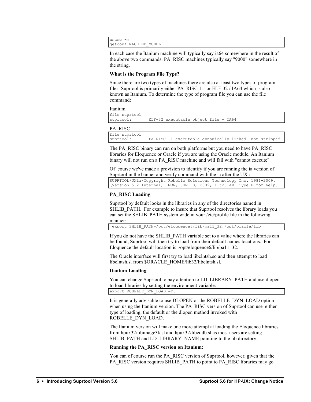uname -m getconf MACHINE\_MODEL

In each case the Itanium machine will typically say ia64 somewhere in the result of the above two commands. PA\_RISC machines typically say "9000" somewhere in the string.

### **What is the Program File Type?**

Since there are two types of machines there are also at least two types of program files. Suprtool is primarily either PA\_RISC 1.1 or ELF-32 / IA64 which is also known as Itanium. To determine the type of program file you can use the file command:

Itanium

| file suprtool |                                      |  |  |
|---------------|--------------------------------------|--|--|
| suprtool:     | ELF-32 executable object file - IA64 |  |  |

PA\_RISC

file suprtool PA-RISC1.1 executable dynamically linked -not stripped

The PA\_RISC binary can run on both platforms but you need to have PA\_RISC libraries for Eloquence or Oracle if you are using the Oracle module. An Itanium binary will not run on a PA\_RISC machine and will fail with "cannot execute".

Of course we've made a provision to identify if you are running the ia version of Suprtool in the banner and verify command with the ia after the UX :

SUPRTOOL/UXia/Copyright Robelle Solutions Technology Inc. 1981-2009. (Version 5.2 Internal) MON, JUN 8, 2009, 11:26 AM Type H for help.

### **PA\_RISC Loading**

Suprtool by default looks in the libraries in any of the directories named in SHLIB PATH. For example to insure that Suprtool resolves the library loads you can set the SHLIB\_PATH system wide in your /etc/profile file in the following manner:

export SHLIB\_PATH=/opt/eloquence6/lib/pa11\_32:/opt/oracle/lib

If you do not have the SHLIB\_PATH variable set to a value where the libraries can be found, Suprtool will then try to load from their default names locations. For Eloquence the default location is :/opt/eloquence6/lib/pa11\_32.

The Oracle interface will first try to load libclntsh.so and then attempt to load libclntsh.sl from \$ORACLE\_HOME/lib32/libclntsh.sl.

### **Itanium Loading**

You can change Suprtool to pay attention to LD\_LIBRARY\_PATH and use dlopen to load libraries by setting the environment variable:

export ROBELLE\_DYN\_LOAD =Y.

It is generally advisable to use DLOPEN or the ROBELLE\_DYN\_LOAD option when using the Itanium version. The PA\_RISC version of Suprtool can use either type of loading, the default or the dlopen method invoked with ROBELLE\_DYN\_LOAD.

The Itanium version will make one more attempt at loading the Eloquence libraries from hpux32/libimage3k.sl and hpux32/libeqdb.sl as most users are setting SHLIB\_PATH and LD\_LIBRARY\_NAME pointing to the lib directory.

### **Running the PA\_RISC version on Itanium:**

You can of course run the PA\_RISC version of Suprtool, however, given that the PA\_RISC version requires SHLIB\_PATH to point to PA\_RISC libraries may go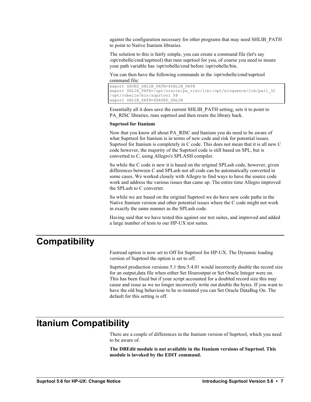against the configuration necessary for other programs that may need SHLIB\_PATH to point to Native Itanium libraries.

The solution to this is fairly simple, you can create a command file (let's say /opt/robelle/cmd/suprtool) that runs suprtool for you, of course you need to insure your path variable has /opt/robelle/cmd before /opt/robelle/bin.

You can then have the following commands in the /opt/robelle/cmd/suprtool command file:

```
export SAVED_SHLIB_PATH=$SHLIB_PATH
export SHLIB_PATH=/opt/oracle/pa_risc/lib:/opt/eloquence/lib/pa11_32
/opt/robelle/bin/suprtool $@
export SHLIB_PATH=$SAVED_SHLIB
```
Essentially all it does save the current SHLIB\_PATH setting, sets it to point to PA\_RISC libraries, runs suprtool and then resets the library back.

#### **Suprtool for Itanium**

Now that you know all about PA\_RISC and Itanium you do need to be aware of what Suprtool for Itanium is in terms of new code and risk for potential issues. Suprtool for Itanium is completely in C code. This does not mean that it is all new C code however, the majority of the Suprtool code is still based on SPL, but is converted to C, using Allegro's SPLASH compiler.

So while the C code is new it is based on the original SPLash code, however, given differences between C and SPLash not all code can be automatically converted in some cases. We worked closely with Allegro to find ways to have the source code work and address the various issues that came up. The entire time Allegro improved the SPLash to C converter.

So while we are based on the original Suprtool we do have new code paths in the Native Itanium version and other potential issues where the C code might not work in exactly the same manner as the SPLash code.

Having said that we have tested this against our test suites, and improved and added a large number of tests to our HP-UX test suites.

### **Compatibility**

Fastread option is now set to Off for Suprtool for HP-UX. The Dynamic loading version of Suprtool the option is set to off.

Suprtool production versions 5.1 thru 5.4.01 would incorrectly double the record size for an output,data file when either Set Ifouroutput or Set Oracle Integer were on. This has been fixed but if your script accounted for a doubled record size this may cause and issue as we no longer incorrectly write out double the bytes. If you want to have the old bug behaviour to be re-instated you can Set Oracle DataBug On. The default for this setting is off.

### **Itanium Compatibility**

There are a couple of differences in the Itanium version of Suprtool, which you need to be aware of.

**The DBEdit module is not available in the Itanium versions of Suprtool. This module is invoked by the EDIT command.**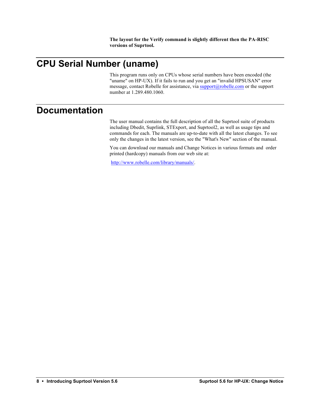**The layout for the Verify command is slightly different then the PA-RISC versions of Suprtool.**

## **CPU Serial Number (uname)**

This program runs only on CPUs whose serial numbers have been encoded (the "uname" on HP-UX). If it fails to run and you get an "invalid HPSUSAN" error message, contact Robelle for assistance, via support@robelle.com or the support number at 1.289.480.1060.

### **Documentation**

The user manual contains the full description of all the Suprtool suite of products including Dbedit, Suprlink, STExport, and Suprtool2, as well as usage tips and commands for each. The manuals are up-to-date with all the latest changes. To see only the changes in the latest version, see the "What's New" section of the manual.

You can download our manuals and Change Notices in various formats and order printed (hardcopy) manuals from our web site at:

http://www.robelle.com/library/manuals/.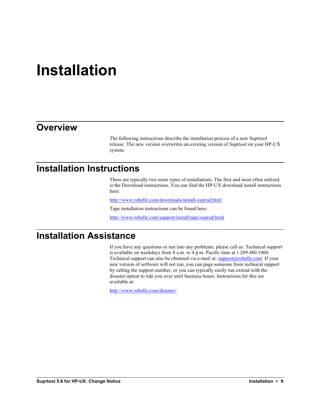## **Installation**

### **Overview**

The following instructions describe the installation process of a new Suprtool release. The new version overwrites an existing version of Suprtool on your HP-UX system.

### **Installation Instructions**

There are typically two main types of installations. The first and most often utilized is the Download instructions. You can find the HP-UX download install instructions here:

http://www.robelle.com/downloads/install-sxprod.html

Tape installation instructions can be found here:

http://www.robelle.com/support/install/tape/sxprod.html

### **Installation Assistance**

If you have any questions or run into any problems, please call us. Technical support is available on weekdays from 8 a.m. to 4 p.m. Pacific time at 1.289.480.1060. Technical support can also be obtained via e-mail at:  $\text{support}(a\text{poble.com}$  If your new version of software will not run, you can page someone from technical support by calling the support number, or you can typically easily run extend with the disaster option to tide you over until business hours. Instructions for this are available at:

http://www.robelle.com/disaster/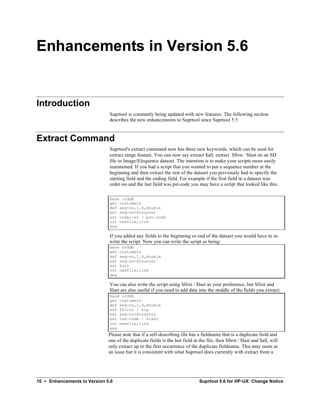# **Enhancements in Version 5.6**

### **Introduction**

Suprtool is constantly being updated with new features. The following section describes the new enhancements to Suprtool since Suprtool 5.5

### **Extract Command**

Suprtool's extract command now has three new keywords, which can be used for extract range feature. You can now say extract \$all, extract \$first / \$last on an SD file or Image/Eloquence dataset. The intention is to make your scripts more easily maintained. If you had a script that you wanted to put a sequence number at the beginning and then extract the rest of the dataset you previously had to specify the starting field and the ending field. For example if the first field in a dataset was order-no and the last field was pst-code you may have a script that looked like this.

```
base orddb
get customers
def seq-no,1,4,double
ext seq-no=$counter
ext order-no / pst-code
out newfile,link
xeq
```
If you added any fields to the beginning or end of the dataset you would have to rewrite the script. Now you can write the script as being:

```
base orddb
get customers
def seq-no,1,4,double
ext seq-no=$counter
ext $all
out newfile,link
xeq
```
You can also write the script using \$first / \$last as your preference, but \$first and \$last are also useful if you need to add data into the middle of the fields you extract:

```
base orddb
get customers
def seq-no,1,4,double
ext $first / zip
ext seq-no=$counter
ext tax-code / $last
out newfile,link
xeq
```
Please note that if a self-describing file has a fieldname that is a duplicate field and one of the duplicate fields is the last field in the file, then \$first / \$last and \$all, will only extract up to the first occurrence of the duplicate fieldname. This may seem as an issue but it is consistent with what Suprtool does currently with extract from a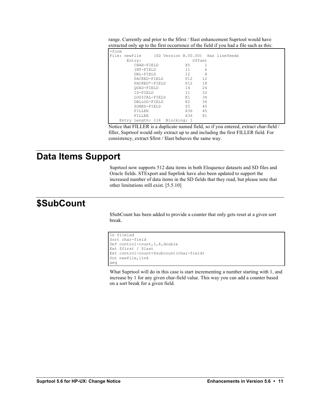| >form         |                               |                                    |                 |     |  |  |
|---------------|-------------------------------|------------------------------------|-----------------|-----|--|--|
| File: newfile |                               | (SD Version B.00.00) Has linefeeds |                 |     |  |  |
|               | Entry:                        |                                    | Offset          |     |  |  |
|               | CHAR-FIELD                    |                                    | X5              |     |  |  |
|               | TNT-FTELD                     |                                    | T 1             | 6   |  |  |
|               | DBL-FIELD                     |                                    | T 2.            | 8   |  |  |
|               | PACKED-FIELD                  |                                    | P <sub>12</sub> | 12. |  |  |
|               | $PACKRD* - FTRLD$             |                                    | P12.            | 18  |  |  |
|               | OUAD-FIELD                    |                                    | T 4             | 2.4 |  |  |
|               | TD-FTELD                      |                                    | T 1             | 32  |  |  |
|               | LOGICAL-FIELD                 |                                    | K1              | 34  |  |  |
|               | DBLLOG-FIELD                  |                                    | K2.             | 36  |  |  |
|               | ZONED-FIELD                   |                                    | 7.5             | 40  |  |  |
|               | FILLER                        |                                    | X36             | 45  |  |  |
|               | <b>FTLLER</b>                 |                                    | X36             | 81  |  |  |
|               | Entry Length: 116 Blocking: 1 |                                    |                 |     |  |  |
|               |                               |                                    |                 |     |  |  |

range. Currently and prior to the \$first / \$last enhancement Suprtool would have extracted only up to the first occurrence of the field if you had a file such as this:

Notice that FILLER is a duplicate named field, so if you entered, extract char-field / filler, Suprtool would only extract up to and including the first FILLER field. For consistency, extract \$first / \$last behaves the same way.

### **Data Items Support**

Suprtool now supports 512 data items in both Eloquence datasets and SD files and Oracle fields. STExport and Suprlink have also been updated to support the increased number of data items in the SD fields that they read, but please note that other limitations still exist. [5.5.10]

### **\$SubCount**

\$SubCount has been added to provide a counter that only gets reset at a given sort break.

```
In file1sd
Sort char-field
Def control-count,1,4,double
Ext $first / $last
Ext control-count=$subcount(char-field)
Out newfile,link
xeq
```
What Suprtool will do in this case is start incrementing a number starting with 1, and increase by 1 for any given char-field value. This way you can add a counter based on a sort break for a given field.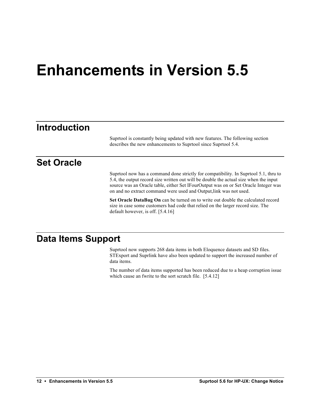## **Enhancements in Version 5.5**

### **Introduction**

Suprtool is constantly being updated with new features. The following section describes the new enhancements to Suprtool since Suprtool 5.4.

### **Set Oracle**

Suprtool now has a command done strictly for compatibility. In Suprtool 5.1, thru to 5.4, the output record size written out will be double the actual size when the input source was an Oracle table, either Set IFourOutput was on or Set Oracle Integer was on and no extract command were used and Output,link was not used.

**Set Oracle DataBug On** can be turned on to write out double the calculated record size in case some customers had code that relied on the larger record size. The default however, is off. [5.4.16]

### **Data Items Support**

Suprtool now supports 268 data items in both Eloquence datasets and SD files. STExport and Suprlink have also been updated to support the increased number of data items.

The number of data items supported has been reduced due to a heap corruption issue which cause an fwrite to the sort scratch file. [5.4.12]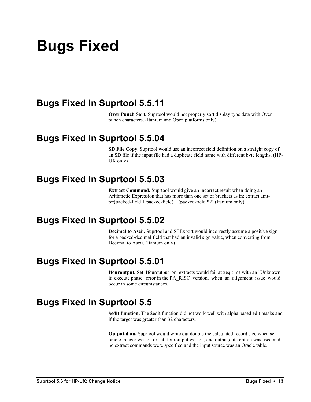# **Bugs Fixed**

### **Bugs Fixed In Suprtool 5.5.11**

**Over Punch Sort.** Suprtool would not properly sort display type data with Over punch characters. (Itanium and Open platforms only)

### **Bugs Fixed In Suprtool 5.5.04**

**SD File Copy.** Suprtool would use an incorrect field definition on a straight copy of an SD file if the input file had a duplicate field name with different byte lengths. (HP-UX only)

### **Bugs Fixed In Suprtool 5.5.03**

**Extract Command.** Suprtool would give an incorrect result when doing an Arithmetic Expression that has more than one set of brackets as in: extract amtp=(packed-field + packed-field) – (packed-field \*2) (Itanium only)

### **Bugs Fixed In Suprtool 5.5.02**

**Decimal to Ascii.** Suprtool and STExport would incorrectly assume a positive sign for a packed-decimal field that had an invalid sign value, when converting from Decimal to Ascii. (Itanium only)

### **Bugs Fixed In Suprtool 5.5.01**

**Ifouroutput.** Set Ifouroutput on extracts would fail at xeq time with an "Unknown if execute phase" error in the PA\_RISC version, when an alignment issue would occur in some circumstances.

### **Bugs Fixed In Suprtool 5.5**

**\$edit function.** The \$edit function did not work well with alpha based edit masks and if the target was greater than 32 characters.

**Output,data.** Suprtool would write out double the calculated record size when set oracle integer was on or set ifouroutput was on, and output,data option was used and no extract commands were specified and the input source was an Oracle table.